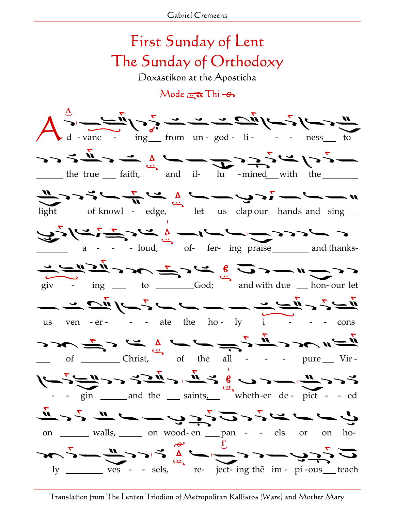## First Sunday of Lent The Sunday of Orthodoxy

Doxastikon at the Aposticha

 $Mode$   $\overline{m}$  Thi  $\rightarrow$